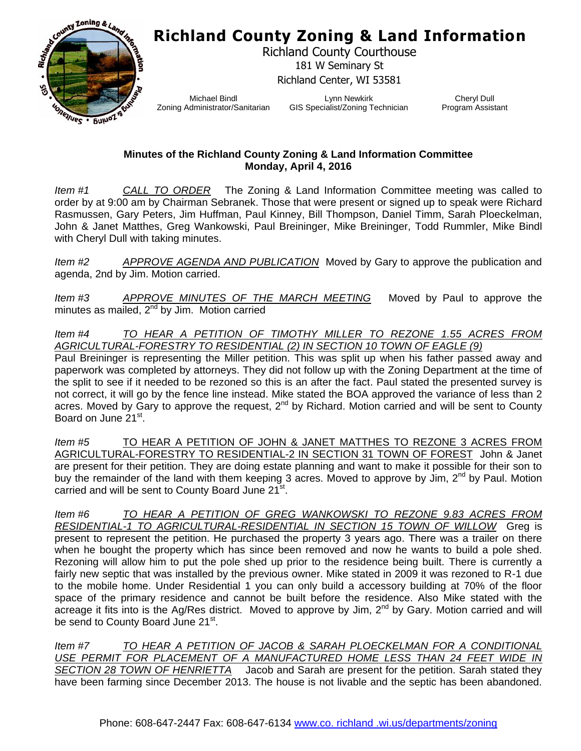## **Richland County Zoning & Land Information**



Richland County Courthouse 181 W Seminary St Richland Center, WI 53581

Michael Bindl Zoning Administrator/Sanitarian

Lynn Newkirk GIS Specialist/Zoning Technician

Cheryl Dull Program Assistant

## **Minutes of the Richland County Zoning & Land Information Committee Monday, April 4, 2016**

*Item #1 CALL TO ORDER* The Zoning & Land Information Committee meeting was called to order by at 9:00 am by Chairman Sebranek. Those that were present or signed up to speak were Richard Rasmussen, Gary Peters, Jim Huffman, Paul Kinney, Bill Thompson, Daniel Timm, Sarah Ploeckelman, John & Janet Matthes, Greg Wankowski, Paul Breininger, Mike Breininger, Todd Rummler, Mike Bindl with Cheryl Dull with taking minutes.

*Item #2 APPROVE AGENDA AND PUBLICATION* Moved by Gary to approve the publication and agenda, 2nd by Jim. Motion carried.

*Item #3 APPROVE MINUTES OF THE MARCH MEETING* Moved by Paul to approve the minutes as mailed,  $2<sup>nd</sup>$  by Jim. Motion carried

*Item #4 TO HEAR A PETITION OF TIMOTHY MILLER TO REZONE 1.55 ACRES FROM AGRICULTURAL-FORESTRY TO RESIDENTIAL (2) IN SECTION 10 TOWN OF EAGLE (9)*

Paul Breininger is representing the Miller petition. This was split up when his father passed away and paperwork was completed by attorneys. They did not follow up with the Zoning Department at the time of the split to see if it needed to be rezoned so this is an after the fact. Paul stated the presented survey is not correct, it will go by the fence line instead. Mike stated the BOA approved the variance of less than 2 acres. Moved by Gary to approve the request,  $2^{nd}$  by Richard. Motion carried and will be sent to County Board on June 21<sup>st</sup>.

*Item #5* TO HEAR A PETITION OF JOHN & JANET MATTHES TO REZONE 3 ACRES FROM AGRICULTURAL-FORESTRY TO RESIDENTIAL-2 IN SECTION 31 TOWN OF FOREST John & Janet are present for their petition. They are doing estate planning and want to make it possible for their son to buy the remainder of the land with them keeping 3 acres. Moved to approve by Jim, 2<sup>nd</sup> by Paul. Motion carried and will be sent to County Board June 21<sup>st</sup>.

*Item #6 TO HEAR A PETITION OF GREG WANKOWSKI TO REZONE 9.83 ACRES FROM RESIDENTIAL-1 TO AGRICULTURAL-RESIDENTIAL IN SECTION 15 TOWN OF WILLOW* Greg is present to represent the petition. He purchased the property 3 years ago. There was a trailer on there when he bought the property which has since been removed and now he wants to build a pole shed. Rezoning will allow him to put the pole shed up prior to the residence being built. There is currently a fairly new septic that was installed by the previous owner. Mike stated in 2009 it was rezoned to R-1 due to the mobile home. Under Residential 1 you can only build a accessory building at 70% of the floor space of the primary residence and cannot be built before the residence. Also Mike stated with the acreage it fits into is the Ag/Res district. Moved to approve by Jim, 2<sup>nd</sup> by Gary. Motion carried and will be send to County Board June 21<sup>st</sup>.

*Item #7 TO HEAR A PETITION OF JACOB & SARAH PLOECKELMAN FOR A CONDITIONAL USE PERMIT FOR PLACEMENT OF A MANUFACTURED HOME LESS THAN 24 FEET WIDE IN SECTION 28 TOWN OF HENRIETTA* Jacob and Sarah are present for the petition. Sarah stated they have been farming since December 2013. The house is not livable and the septic has been abandoned.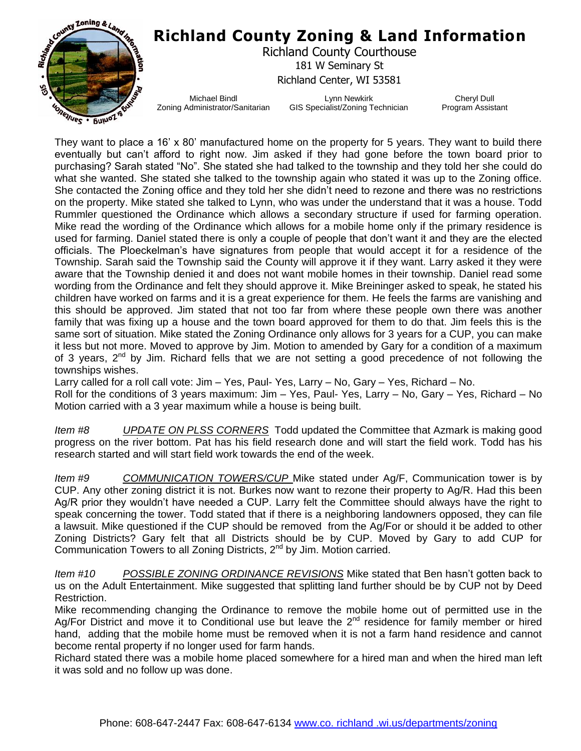

They want to place a 16' x 80' manufactured home on the property for 5 years. They want to build there eventually but can't afford to right now. Jim asked if they had gone before the town board prior to purchasing? Sarah stated "No". She stated she had talked to the township and they told her she could do what she wanted. She stated she talked to the township again who stated it was up to the Zoning office. She contacted the Zoning office and they told her she didn't need to rezone and there was no restrictions on the property. Mike stated she talked to Lynn, who was under the understand that it was a house. Todd Rummler questioned the Ordinance which allows a secondary structure if used for farming operation. Mike read the wording of the Ordinance which allows for a mobile home only if the primary residence is used for farming. Daniel stated there is only a couple of people that don't want it and they are the elected officials. The Ploeckelman's have signatures from people that would accept it for a residence of the Township. Sarah said the Township said the County will approve it if they want. Larry asked it they were aware that the Township denied it and does not want mobile homes in their township. Daniel read some wording from the Ordinance and felt they should approve it. Mike Breininger asked to speak, he stated his children have worked on farms and it is a great experience for them. He feels the farms are vanishing and this should be approved. Jim stated that not too far from where these people own there was another family that was fixing up a house and the town board approved for them to do that. Jim feels this is the same sort of situation. Mike stated the Zoning Ordinance only allows for 3 years for a CUP, you can make it less but not more. Moved to approve by Jim. Motion to amended by Gary for a condition of a maximum of 3 years, 2<sup>nd</sup> by Jim. Richard fells that we are not setting a good precedence of not following the townships wishes.

Larry called for a roll call vote: Jim – Yes, Paul- Yes, Larry – No, Gary – Yes, Richard – No. Roll for the conditions of 3 years maximum: Jim – Yes, Paul- Yes, Larry – No, Gary – Yes, Richard – No Motion carried with a 3 year maximum while a house is being built.

*Item #8 UPDATE ON PLSS CORNERS* Todd updated the Committee that Azmark is making good progress on the river bottom. Pat has his field research done and will start the field work. Todd has his research started and will start field work towards the end of the week.

*Item #9 COMMUNICATION TOWERS/CUP* Mike stated under Ag/F, Communication tower is by CUP. Any other zoning district it is not. Burkes now want to rezone their property to Ag/R. Had this been Ag/R prior they wouldn't have needed a CUP. Larry felt the Committee should always have the right to speak concerning the tower. Todd stated that if there is a neighboring landowners opposed, they can file a lawsuit. Mike questioned if the CUP should be removed from the Ag/For or should it be added to other Zoning Districts? Gary felt that all Districts should be by CUP. Moved by Gary to add CUP for Communication Towers to all Zoning Districts, 2<sup>nd</sup> by Jim. Motion carried.

*Item #10 POSSIBLE ZONING ORDINANCE REVISIONS* Mike stated that Ben hasn't gotten back to us on the Adult Entertainment. Mike suggested that splitting land further should be by CUP not by Deed Restriction.

Mike recommending changing the Ordinance to remove the mobile home out of permitted use in the Ag/For District and move it to Conditional use but leave the  $2^{nd}$  residence for family member or hired hand, adding that the mobile home must be removed when it is not a farm hand residence and cannot become rental property if no longer used for farm hands.

Richard stated there was a mobile home placed somewhere for a hired man and when the hired man left it was sold and no follow up was done.